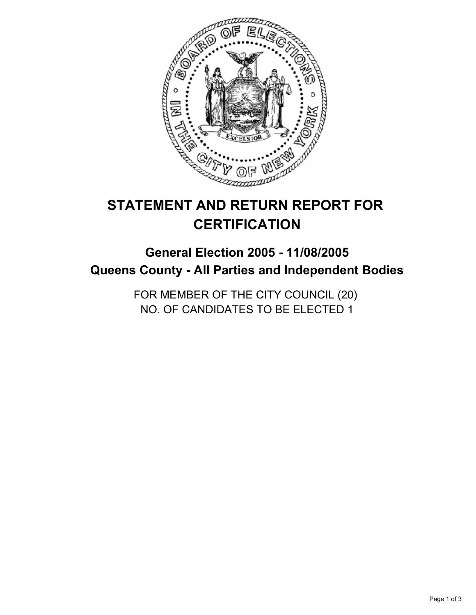

# **STATEMENT AND RETURN REPORT FOR CERTIFICATION**

## **General Election 2005 - 11/08/2005 Queens County - All Parties and Independent Bodies**

FOR MEMBER OF THE CITY COUNCIL (20) NO. OF CANDIDATES TO BE ELECTED 1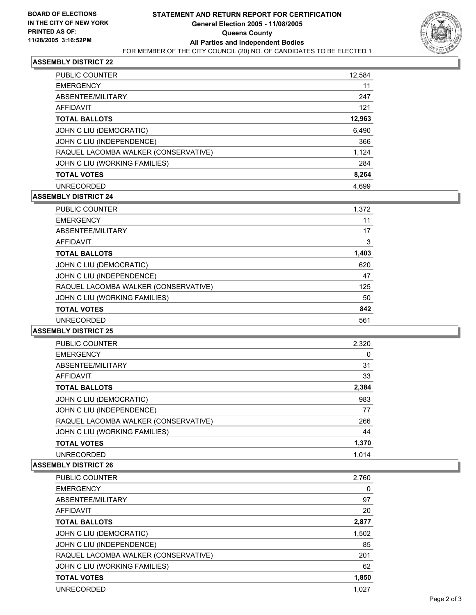

## **ASSEMBLY DISTRICT 22**

| <b>PUBLIC COUNTER</b>                | 12,584 |
|--------------------------------------|--------|
| <b>EMERGENCY</b>                     | 11     |
| ABSENTEE/MILITARY                    | 247    |
| AFFIDAVIT                            | 121    |
| <b>TOTAL BALLOTS</b>                 | 12,963 |
| JOHN C LIU (DEMOCRATIC)              | 6,490  |
| JOHN C LIU (INDEPENDENCE)            | 366    |
| RAQUEL LACOMBA WALKER (CONSERVATIVE) | 1,124  |
| JOHN C LIU (WORKING FAMILIES)        | 284    |
| <b>TOTAL VOTES</b>                   | 8,264  |
| <b>UNRECORDED</b>                    | 4,699  |

## **ASSEMBLY DISTRICT 24**

| PUBLIC COUNTER                       | 1,372 |  |
|--------------------------------------|-------|--|
| <b>EMERGENCY</b>                     | 11    |  |
| ABSENTEE/MILITARY                    | 17    |  |
| AFFIDAVIT                            | 3     |  |
| <b>TOTAL BALLOTS</b>                 | 1,403 |  |
| JOHN C LIU (DEMOCRATIC)              | 620   |  |
| JOHN C LIU (INDEPENDENCE)            | 47    |  |
| RAQUEL LACOMBA WALKER (CONSERVATIVE) | 125   |  |
| JOHN C LIU (WORKING FAMILIES)        | 50    |  |
| <b>TOTAL VOTES</b>                   | 842   |  |
| <b>UNRECORDED</b>                    | 561   |  |

#### **ASSEMBLY DISTRICT 25**

| <b>PUBLIC COUNTER</b>                | 2,320 |
|--------------------------------------|-------|
| <b>EMERGENCY</b>                     |       |
| ABSENTEE/MILITARY                    | 31    |
| <b>AFFIDAVIT</b>                     | 33    |
| <b>TOTAL BALLOTS</b>                 | 2,384 |
| JOHN C LIU (DEMOCRATIC)              | 983   |
| JOHN C LIU (INDEPENDENCE)            | 77    |
| RAQUEL LACOMBA WALKER (CONSERVATIVE) | 266   |
| JOHN C LIU (WORKING FAMILIES)        | 44    |
| <b>TOTAL VOTES</b>                   | 1,370 |
| <b>UNRECORDED</b>                    | 1.014 |

#### **ASSEMBLY DISTRICT 26**

| <b>PUBLIC COUNTER</b>                | 2,760 |
|--------------------------------------|-------|
| <b>EMERGENCY</b>                     | 0     |
| ABSENTEE/MILITARY                    | 97    |
| AFFIDAVIT                            | 20    |
| <b>TOTAL BALLOTS</b>                 | 2,877 |
| JOHN C LIU (DEMOCRATIC)              | 1,502 |
| JOHN C LIU (INDEPENDENCE)            | 85    |
| RAQUEL LACOMBA WALKER (CONSERVATIVE) | 201   |
| JOHN C LIU (WORKING FAMILIES)        | 62    |
| <b>TOTAL VOTES</b>                   | 1,850 |
| <b>UNRECORDED</b>                    | 1.027 |